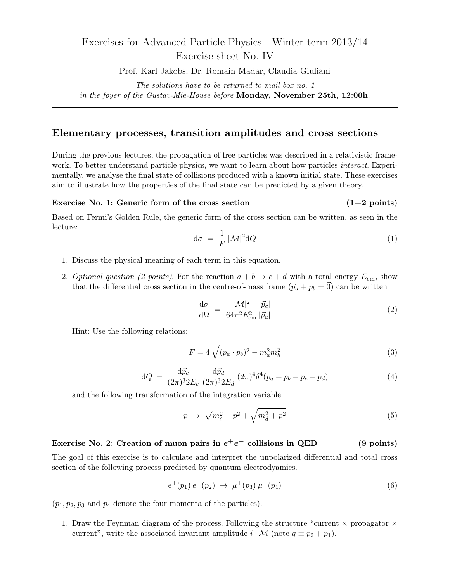## Exercises for Advanced Particle Physics - Winter term 2013/14 Exercise sheet No. IV

Prof. Karl Jakobs, Dr. Romain Madar, Claudia Giuliani

*The solutions have to be returned to mail box no. 1 in the foyer of the Gustav-Mie-House before* **Monday, November 25th, 12:00h***.*

## **Elementary processes, transition amplitudes and cross sections**

During the previous lectures, the propagation of free particles was described in a relativistic framework. To better understand particle physics, we want to learn about how particles *interact*. Experimentally, we analyse the final state of collisions produced with a known initial state. These exercises aim to illustrate how the properties of the final state can be predicted by a given theory.

## **Exercise No. 1: Generic form of the cross section** (1+2 points)

Based on Fermi's Golden Rule, the generic form of the cross section can be written, as seen in the lecture:

$$
d\sigma = \frac{1}{F} |\mathcal{M}|^2 dQ \tag{1}
$$

- 1. Discuss the physical meaning of each term in this equation.
- 2. *Optional question (2 points)*. For the reaction  $a + b \rightarrow c + d$  with a total energy  $E_{cm}$ , show that the differential cross section in the centre-of-mass frame  $(\vec{p}_a + \vec{p}_b = \vec{0})$  can be written

$$
\frac{\mathrm{d}\sigma}{\mathrm{d}\Omega} = \frac{|\mathcal{M}|^2}{64\pi^2 E_{\rm cm}^2} \frac{|\vec{p}_c|}{|\vec{p}_a|} \tag{2}
$$

Hint: Use the following relations:

$$
F = 4\sqrt{(p_a \cdot p_b)^2 - m_a^2 m_b^2} \tag{3}
$$

$$
dQ = \frac{d\vec{p}_c}{(2\pi)^3 2E_c} \frac{d\vec{p}_d}{(2\pi)^3 2E_d} (2\pi)^4 \delta^4(p_a + p_b - p_c - p_d)
$$
 (4)

and the following transformation of the integration variable

$$
p \to \sqrt{m_c^2 + p^2} + \sqrt{m_d^2 + p^2} \tag{5}
$$

## **Exercise No. 2:** Creation of muon pairs in  $e^+e^-$  collisions in QED (9 points)

The goal of this exercise is to calculate and interpret the unpolarized differential and total cross section of the following process predicted by quantum electrodyamics.

$$
e^+(p_1) e^-(p_2) \rightarrow \mu^+(p_3) \mu^-(p_4)
$$
\n(6)

 $(p_1, p_2, p_3 \text{ and } p_4 \text{ denote the four momenta of the particles).$ 

1. Draw the Feynman diagram of the process. Following the structure "current *×* propagator *×* current", write the associated invariant amplitude  $i \cdot M$  (note  $q \equiv p_2 + p_1$ ).